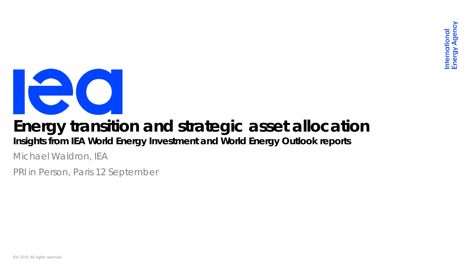

#### **Energy transition and strategic asset allocation** *Insights from IEA World Energy Investment and World Energy Outlook reports*

Michael Waldron, IEA

PRI in Person, Paris 12 September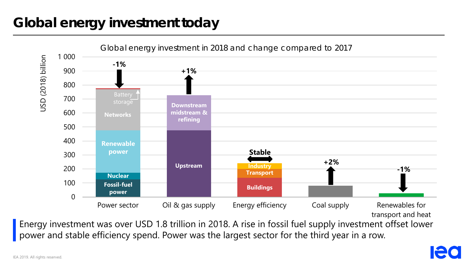# **Global energy investment today**



Energy investment was over USD 1.8 trillion in 2018. A rise in fossil fuel supply investment offset lower power and stable efficiency spend. Power was the largest sector for the third year in a row.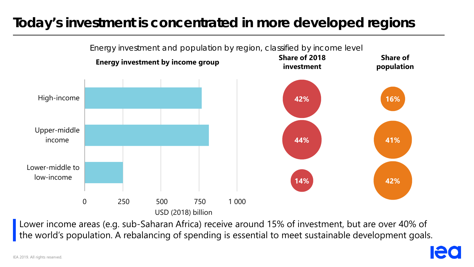## **Today's investment is concentrated in more developed regions**



Lower income areas (e.g. sub-Saharan Africa) receive around 15% of investment, but are over 40% of the world's population. A rebalancing of spending is essential to meet sustainable development goals.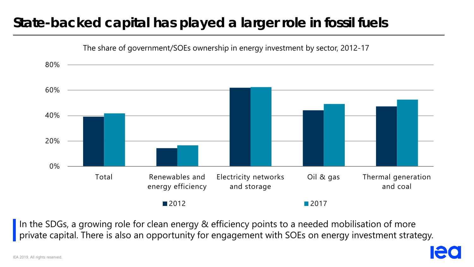#### **State-backed capital has played a larger role in fossil fuels**



In the SDGs, a growing role for clean energy & efficiency points to a needed mobilisation of more private capital. There is also an opportunity for engagement with SOEs on energy investment strategy.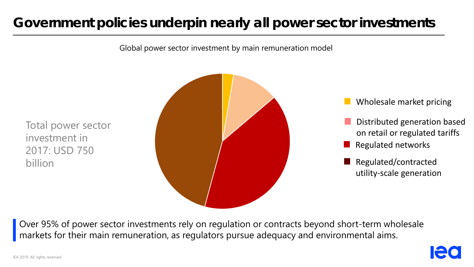## **Government policies underpin nearly all power sector investments**

Global power sector investment by main remuneration model

Total power sector investment in 2017: USD 750 billion



Wholesale market pricing

Regulated networks Distributed generation based on retail or regulated tariffs

Regulated/contracted utility-scale generation

Over 95% of power sector investments rely on regulation or contracts beyond short-term wholesale markets for their main remuneration, as regulators pursue adequacy and environmental aims.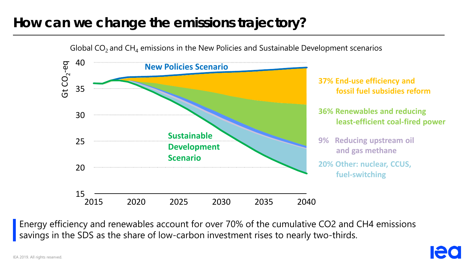#### **How can we change the emissions trajectory?**



Global  $CO<sub>2</sub>$  and  $CH<sub>4</sub>$  emissions in the New Policies and Sustainable Development scenarios

Energy efficiency and renewables account for over 70% of the cumulative CO2 and CH4 emissions savings in the SDS as the share of low-carbon investment rises to nearly two-thirds.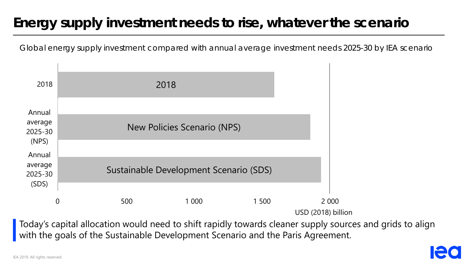# **Energy supply investment needs to rise, whatever the scenario**

Global energy supply investment compared with annual average investment needs 2025-30 by IEA scenario

| 2018                        | 2018                                   |                               |
|-----------------------------|----------------------------------------|-------------------------------|
| Annual                      |                                        |                               |
| average<br>2025-30<br>(NPS) | New Policies Scenario (NPS)            |                               |
| Annual                      |                                        |                               |
| average<br>2025-30          | Sustainable Development Scenario (SDS) |                               |
| (SDS)<br>0                  | 1 500<br>500<br>1 000                  | 2 0 0 0<br>USD (2018) billion |

Today's capital allocation would need to shift rapidly towards cleaner supply sources and grids to align with the goals of the Sustainable Development Scenario and the Paris Agreement.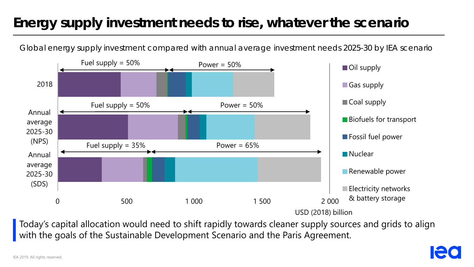# **Energy supply investment needs to rise, whatever the scenario**

Global energy supply investment compared with annual average investment needs 2025-30 by IEA scenario



Today's capital allocation would need to shift rapidly towards cleaner supply sources and grids to align with the goals of the Sustainable Development Scenario and the Paris Agreement.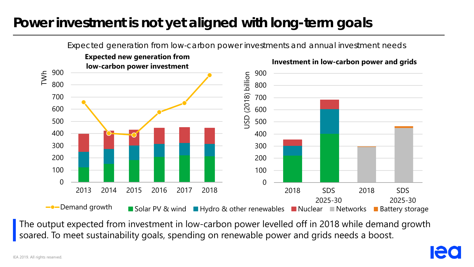## **Power investment is not yet aligned with long-term goals**



Expected generation from low-carbon power investments and annual investment needs

The output expected from investment in low-carbon power levelled off in 2018 while demand growth soared. To meet sustainability goals, spending on renewable power and grids needs a boost.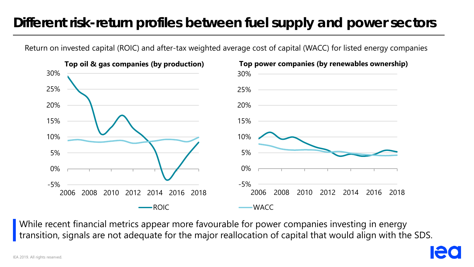## **Different risk-return profiles between fuel supply and power sectors**

Return on invested capital (ROIC) and after-tax weighted average cost of capital (WACC) for listed energy companies



While recent financial metrics appear more favourable for power companies investing in energy transition, signals are not adequate for the major reallocation of capital that would align with the SDS.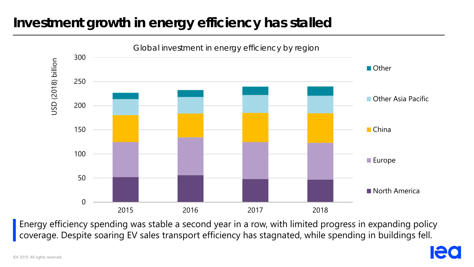# **Investment growth in energy efficiency has stalled**



Energy efficiency spending was stable a second year in a row, with limited progress in expanding policy coverage. Despite soaring EV sales transport efficiency has stagnated, while spending in buildings fell.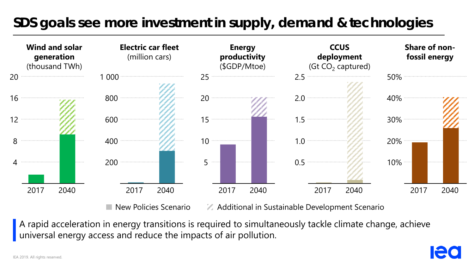# **SDS goals see more investment in supply, demand & technologies**



A rapid acceleration in energy transitions is required to simultaneously tackle climate change, achieve universal energy access and reduce the impacts of air pollution.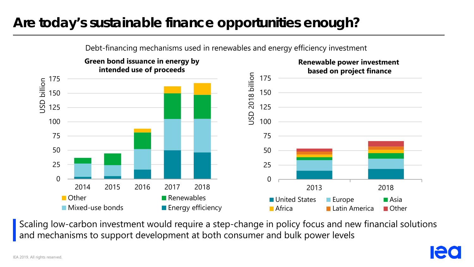## **Are today's sustainable finance opportunities enough?**



Scaling low-carbon investment would require a step-change in policy focus and new financial solutions and mechanisms to support development at both consumer and bulk power levels